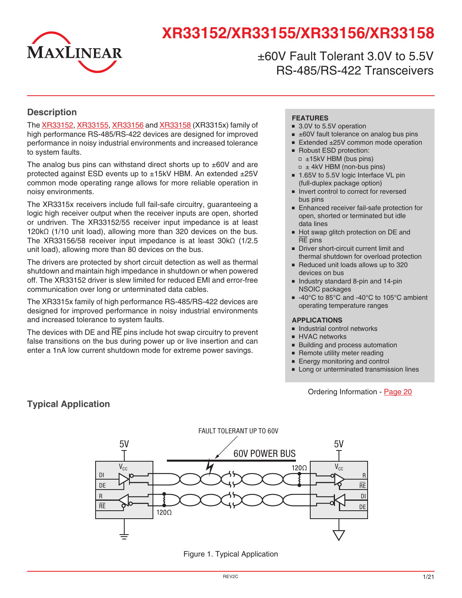

# **XR33152/XR33155/XR33156/XR33158**

±60V Fault Tolerant 3.0V to 5.5V RS-485/RS-422 Transceivers

### **Description**

The [XR33152](http://www.exar.com/XR33152), [XR3315](http://www.exar.com/XR33155)5, [XR33156](http://www.exar.com/XR33156) and [XR33158](http://www.exar.com/XR33158) (XR3315x) family of high performance RS-485/RS-422 devices are designed for improved performance in noisy industrial environments and increased tolerance to system faults.

The analog bus pins can withstand direct shorts up to  $\pm 60V$  and are protected against ESD events up to ±15kV HBM. An extended ±25V common mode operating range allows for more reliable operation in noisy environments.

The XR3315x receivers include full fail-safe circuitry, guaranteeing a logic high receiver output when the receiver inputs are open, shorted or undriven. The XR33152/55 receiver input impedance is at least 120kΩ (1/10 unit load), allowing more than 320 devices on the bus. The XR33156/58 receiver input impedance is at least 30kΩ (1/2.5 unit load), allowing more than 80 devices on the bus.

The drivers are protected by short circuit detection as well as thermal shutdown and maintain high impedance in shutdown or when powered off. The XR33152 driver is slew limited for reduced EMI and error-free communication over long or unterminated data cables.

The XR3315x family of high performance RS-485/RS-422 devices are designed for improved performance in noisy industrial environments and increased tolerance to system faults.

The devices with  $DE$  and  $\overline{RE}$  pins include hot swap circuitry to prevent false transitions on the bus during power up or live insertion and can enter a 1nA low current shutdown mode for extreme power savings.

#### **FEATURES**

- 3.0V to 5.5V operation
- $\equiv$   $\pm$ 60V fault tolerance on analog bus pins
- Extended ±25V common mode operation
- Robust ESD protection:  $= \pm 15kV$  HBM (bus pins)  $\Box \pm 4kV$  HBM (non-bus pins)
- 1.65V to 5.5V logic Interface VL pin (full-duplex package option)
- Invert control to correct for reversed bus pins
- Enhanced receiver fail-safe protection for open, shorted or terminated but idle data lines
- Hot swap glitch protection on DE and RE pins
- Driver short-circuit current limit and thermal shutdown for overload protection
- Reduced unit loads allows up to 320 devices on bus
- Industry standard 8-pin and 14-pin NSOIC packages
- -40°C to 85°C and -40°C to 105°C ambient operating temperature ranges

#### **APPLICATIONS**

- Industrial control networks
- HVAC networks
- Building and process automation
- Remote utility meter reading
- Energy monitoring and control
- Long or unterminated transmission lines

#### Ordering Information - [Page](#page-19-0) 20





Figure 1. Typical Application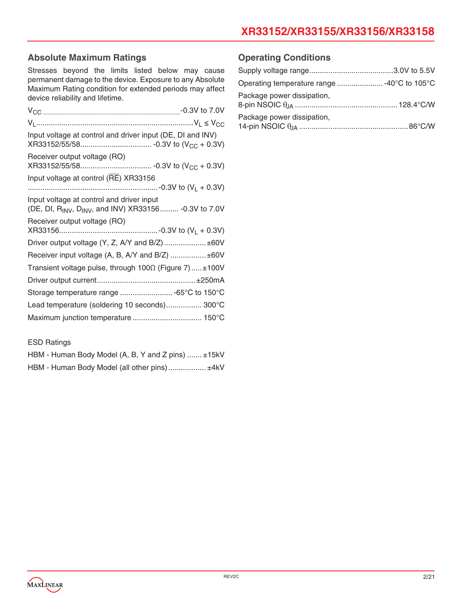# **XR33152/XR33155/XR33156/XR33158**

### **Absolute Maximum Ratings**

Stresses beyond the limits listed below may cause permanent damage to the device. Exposure to any Absolute Maximum Rating condition for extended periods may affect device reliability and lifetime.

| Input voltage at control and driver input (DE, DI and INV)                                        |
|---------------------------------------------------------------------------------------------------|
| Receiver output voltage (RO)                                                                      |
| Input voltage at control (RE) XR33156                                                             |
|                                                                                                   |
| Input voltage at control and driver input<br>(DE, DI, RINV, DINV, and INV) XR33156 - 0.3V to 7.0V |
| Receiver output voltage (RO)                                                                      |
| Driver output voltage (Y, Z, A/Y and B/Z)  ±60V                                                   |
| Receiver input voltage (A, B, A/Y and B/Z)  ±60V                                                  |
| Transient voltage pulse, through $100\Omega$ (Figure 7) $\pm 100V$                                |
|                                                                                                   |
| Storage temperature range  -65°C to 150°C                                                         |
| Lead temperature (soldering 10 seconds) 300°C                                                     |
|                                                                                                   |

#### ESD Ratings

| HBM - Human Body Model (A, B, Y and Z pins)  ±15kV |  |  |
|----------------------------------------------------|--|--|
| HBM - Human Body Model (all other pins) ±4kV       |  |  |

### **Operating Conditions**

| Package power dissipation, |  |
|----------------------------|--|
| Package power dissipation, |  |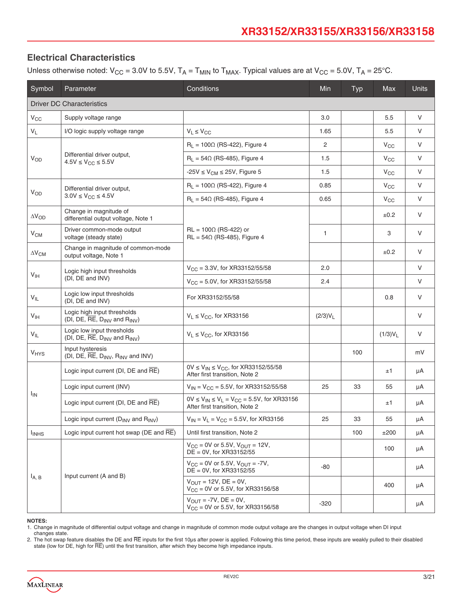### **Electrical Characteristics**

Unless otherwise noted:  $V_{CC}$  = 3.0V to 5.5V,  $T_A$  =  $T_{MIN}$  to  $T_{MAX}$ . Typical values are at  $V_{CC}$  = 5.0V,  $T_A$  = 25°C.

| Symbol                           | Parameter                                                                                   | Min                                                                                     | <b>Typ</b> | <b>Max</b> | <b>Units</b> |        |
|----------------------------------|---------------------------------------------------------------------------------------------|-----------------------------------------------------------------------------------------|------------|------------|--------------|--------|
| <b>Driver DC Characteristics</b> |                                                                                             |                                                                                         |            |            |              |        |
| $V_{CC}$                         | Supply voltage range                                                                        |                                                                                         | 3.0        |            | 5.5          | $\vee$ |
| $V_L$                            | I/O logic supply voltage range                                                              | $V_L \leq V_{CC}$                                                                       | 1.65       |            | 5.5          | V      |
|                                  |                                                                                             | $R_L = 100 \Omega$ (RS-422), Figure 4                                                   | 2          |            | $V_{CC}$     | V      |
| $V_{OD}$                         | Differential driver output,<br>$4.5V \leq V_{CC} \leq 5.5V$                                 | $R_1 = 54\Omega$ (RS-485), Figure 4                                                     | 1.5        |            | $V_{CC}$     | $\vee$ |
|                                  |                                                                                             | $-25V \leq V_{CM} \leq 25V$ , Figure 5                                                  | 1.5        |            | $V_{CC}$     | V      |
|                                  | Differential driver output,                                                                 | $R_L$ = 100 $\Omega$ (RS-422), Figure 4                                                 | 0.85       |            | $V_{CC}$     | $\vee$ |
| <b>V<sub>OD</sub></b>            | $3.0V \le V_{CC} \le 4.5V$                                                                  | $R_1 = 54\Omega$ (RS-485), Figure 4                                                     | 0.65       |            | $V_{CC}$     | V      |
| $\Delta V_{OD}$                  | Change in magnitude of<br>differential output voltage, Note 1                               |                                                                                         |            |            | ±0.2         | V      |
| V <sub>CM</sub>                  | Driver common-mode output<br>voltage (steady state)                                         | $RL = 100 \Omega$ (RS-422) or<br>$RL = 54\Omega$ (RS-485), Figure 4                     | 1          |            | 3            | V      |
| $\Delta\rm{V_{CM}}$              | Change in magnitude of common-mode<br>output voltage, Note 1                                |                                                                                         |            |            | ±0.2         | V      |
|                                  | Logic high input thresholds<br>$V_{\text{IH}}$<br>(DI, DE and INV)                          | $V_{CC}$ = 3.3V, for XR33152/55/58                                                      | 2.0        |            |              | $\vee$ |
|                                  |                                                                                             | $V_{CC} = 5.0V$ , for XR33152/55/58                                                     | 2.4        |            |              | V      |
| $V_{IL}$                         | Logic low input thresholds<br>(DI, DE and INV)                                              | For XR33152/55/58                                                                       |            |            | 0.8          | V      |
| V <sub>IH</sub>                  | Logic high input thresholds<br>(DI, DE, $\overline{RE}$ , D <sub>INV</sub> and $R_{INV}$ )  | $V_L \leq V_{CC}$ , for XR33156                                                         | $(2/3)V_L$ |            |              | V      |
| $V_{IL}$                         | Logic low input thresholds<br>(DI, DE, RE, D <sub>INV</sub> and R <sub>INV</sub> )          | $V_L \leq V_{CC}$ , for XR33156                                                         |            |            | $(1/3)V_L$   | $\vee$ |
| <b>V<sub>HYS</sub></b>           | Input hysteresis<br>(DI, DE, $\overline{RE}$ , D <sub>INV</sub> , R <sub>INV</sub> and INV) |                                                                                         |            | 100        |              | mV     |
|                                  | Logic input current (DI, DE and RE)                                                         | $0V \le V_{IN} \le V_{CC}$ , for XR33152/55/58<br>After first transition, Note 2        |            |            | ±1           | μA     |
|                                  | Logic input current (INV)                                                                   | $V_{IN}$ = $V_{CC}$ = 5.5V, for XR33152/55/58                                           | 25         | 33         | 55           | μA     |
| <sup>I</sup> IN                  | Logic input current (DI, DE and RE)                                                         | $0V \le V_{IN} \le V_L = V_{CC} = 5.5V$ , for XR33156<br>After first transition, Note 2 |            |            | ±1           | μA     |
|                                  | Logic input current (D <sub>INV</sub> and R <sub>INV</sub> )                                | $V_{IN} = V_L = V_{CC} = 5.5V$ , for XR33156                                            | 25         | 33         | 55           | μA     |
| <b>INHS</b>                      | Logic input current hot swap ( $DE$ and $\overline{RE}$ )                                   | Until first transition, Note 2                                                          |            | 100        | ±200         | μA     |
|                                  |                                                                                             | $V_{CC} = 0V$ or 5.5V, $V_{OUT} = 12V$ ,<br>DE = 0V, for XR33152/55                     |            |            | 100          | μA     |
|                                  |                                                                                             | $V_{CC} = 0V$ or 5.5V, $V_{OUT} = -7V$ ,<br>$DE = 0V$ , for XR33152/55                  | -80        |            |              | μA     |
| $I_{A,B}$                        | Input current (A and B)                                                                     | $V_{OIII}$ = 12V, DE = 0V,<br>$V_{CC}$ = 0V or 5.5V, for XR33156/58                     |            |            | 400          | μA     |
|                                  |                                                                                             | $V_{\text{OUT}} = -7V$ , DE = 0V,<br>$V_{CC} = 0V$ or 5.5V, for XR33156/58              | $-320$     |            |              | μA     |

**NOTES:**

1. Change in magnitude of differential output voltage and change in magnitude of common mode output voltage are the changes in output voltage when DI input changes state.

2. The hot swap feature disables the DE and RE inputs for the first 10μs after power is applied. Following this time period, these inputs are weakly pulled to their disabled state (low for DE, high for RE) until the first transition, after which they become high impedance inputs.

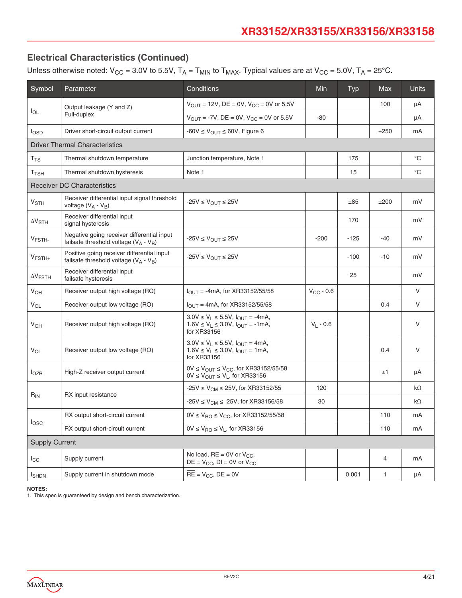Unless otherwise noted:  $V_{CC} = 3.0V$  to 5.5V,  $T_A = T_{MIN}$  to  $T_{MAX}$ . Typical values are at  $V_{CC} = 5.0V$ ,  $T_A = 25°C$ .

| Symbol                     | Parameter                                                                                | Conditions                                                                                                    |                | Typ    | Max  | <b>Units</b> |
|----------------------------|------------------------------------------------------------------------------------------|---------------------------------------------------------------------------------------------------------------|----------------|--------|------|--------------|
|                            | Output leakage (Y and Z)                                                                 | $V_{OUT} = 12V$ , DE = 0V, $V_{CC} = 0V$ or 5.5V                                                              |                |        | 100  | μA           |
| $I_{OL}$                   | Full-duplex                                                                              | $V_{OUT} = -7V$ , DE = 0V, $V_{CC} = 0V$ or 5.5V                                                              | $-80$          |        |      | μA           |
| losp                       | Driver short-circuit output current                                                      | $-60V \leq V_{\text{OUT}} \leq 60V$ , Figure 6                                                                |                |        | ±250 | mA           |
|                            | <b>Driver Thermal Characteristics</b>                                                    |                                                                                                               |                |        |      |              |
| T <sub>TS</sub>            | Thermal shutdown temperature                                                             | Junction temperature, Note 1                                                                                  |                | 175    |      | $^{\circ}$ C |
| $T$ TSH                    | Thermal shutdown hysteresis                                                              | Note 1                                                                                                        |                | 15     |      | $^{\circ}C$  |
|                            | <b>Receiver DC Characteristics</b>                                                       |                                                                                                               |                |        |      |              |
| $V_{\footnotesize\rm STH}$ | Receiver differential input signal threshold<br>voltage $(V_A - V_B)$                    | $-25V \leq V_{OUT} \leq 25V$                                                                                  |                | ±85    | ±200 | mV           |
| $\Delta V_{STH}$           | Receiver differential input<br>signal hysteresis                                         |                                                                                                               |                | 170    |      | mV           |
| V <sub>FSTH-</sub>         | Negative going receiver differential input<br>failsafe threshold voltage ( $V_A - V_B$ ) | $-25V \leq V_{\text{OUT}} \leq 25V$                                                                           | $-200$         | $-125$ | -40  | mV           |
| $V_{\text{FSTH+}}$         | Positive going receiver differential input<br>failsafe threshold voltage $(V_A - V_B)$   | $-25V \leq V_{OUT} \leq 25V$                                                                                  |                | $-100$ | -10  | mV           |
| $\Delta V$ FSTH            | Receiver differential input<br>failsafe hysteresis                                       |                                                                                                               |                | 25     |      | mV           |
| <b>V<sub>OH</sub></b>      | Receiver output high voltage (RO)                                                        | $I_{OUT} = -4mA$ , for XR33152/55/58                                                                          | $V_{CC}$ - 0.6 |        |      | $\vee$       |
| <b>V<sub>OL</sub></b>      | Receiver output low voltage (RO)                                                         | $I_{\text{OUT}} = 4 \text{mA}$ , for XR33152/55/58                                                            |                |        | 0.4  | V            |
| <b>V<sub>OH</sub></b>      | Receiver output high voltage (RO)                                                        | $3.0V \le V_L \le 5.5V$ , $I_{OUT} = -4mA$ ,<br>$1.6V \le V_L \le 3.0V$ , $I_{OUT} = -1mA$ ,<br>for XR33156   | $V_L - 0.6$    |        |      | V            |
| <b>V<sub>OL</sub></b>      | Receiver output low voltage (RO)                                                         | $3.0V \le V_L \le 5.5V$ , $I_{OUT} = 4mA$ ,<br>$1.6V \le V_L \le 3.0V$ , $I_{OUT} = 1mA$ ,<br>for XR33156     |                |        | 0.4  | $\vee$       |
| $I_{OZR}$                  | High-Z receiver output current                                                           | $0V \leq V_{OUT} \leq V_{CC}$ , for XR33152/55/58<br>$0V \leq V_{\text{OUT}} \leq V_{\text{L}}$ , for XR33156 |                |        | ±1   | μA           |
|                            |                                                                                          | $-25V \le V_{CM} \le 25V$ , for XR33152/55                                                                    | 120            |        |      | $k\Omega$    |
| $R_{IN}$                   | RX input resistance                                                                      | -25V $\leq$ V <sub>CM</sub> $\leq$ 25V, for XR33156/58                                                        | 30             |        |      | $k\Omega$    |
|                            | RX output short-circuit current                                                          | $0V ≤ VRO ≤ VCC$ , for XR33152/55/58                                                                          |                |        | 110  | mA           |
| losc                       | RX output short-circuit current                                                          | $0V \le V_{\text{RO}} \le V_{\text{L}}$ , for XR33156                                                         |                |        | 110  | mA           |
| <b>Supply Current</b>      |                                                                                          |                                                                                                               |                |        |      |              |
| $I_{\rm CC}$               | Supply current                                                                           | No load, $\overline{RE} = 0V$ or $V_{CC}$ ,<br>$DE = V_{CC}$ , $DI = 0V$ or $V_{CC}$                          |                |        | 4    | mA           |
| <b>I</b> SHDN              | Supply current in shutdown mode                                                          | $\overline{RE}$ = V <sub>CC</sub> , DE = 0V                                                                   |                | 0.001  | 1    | μA           |

**NOTES:**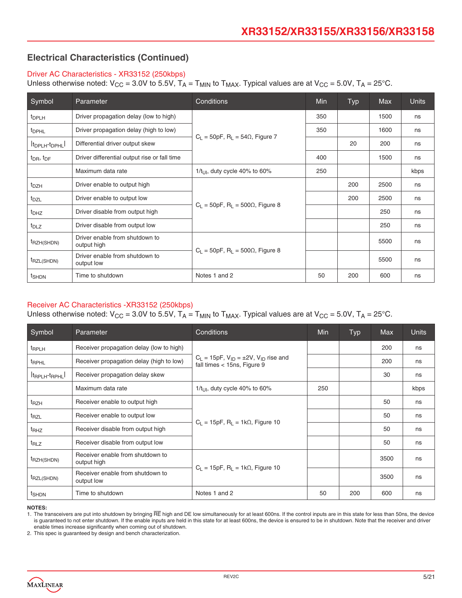#### Driver AC Characteristics - XR33152 (250kbps)

Unless otherwise noted:  $V_{CC}$  = 3.0V to 5.5V,  $T_A$  =  $T_{MIN}$  to  $T_{MAX}$ . Typical values are at  $V_{CC}$  = 5.0V,  $T_A$  = 25°C.

| Symbol                                  | Parameter                                     | Conditions                                              | <b>Min</b> | Typ | <b>Max</b> | <b>Units</b> |
|-----------------------------------------|-----------------------------------------------|---------------------------------------------------------|------------|-----|------------|--------------|
| t <sub>DPLH</sub>                       | Driver propagation delay (low to high)        |                                                         | 350        |     | 1500       | ns           |
| <sup>t</sup> DPHL                       | Driver propagation delay (high to low)        |                                                         | 350        |     | 1600       | ns           |
| It <sub>DPLH</sub> -t <sub>DPHL</sub> I | Differential driver output skew               | $C_1 = 50pF$ , R <sub>1</sub> = 54 $\Omega$ , Figure 7  |            | 20  | 200        | ns           |
| $t_{\text{DR}}$ , $t_{\text{DF}}$       | Driver differential output rise or fall time  |                                                         | 400        |     | 1500       | ns           |
|                                         | Maximum data rate                             | $1/t_{\text{LII}}$ , duty cycle 40% to 60%              | 250        |     |            | kbps         |
| $t_{DZH}$                               | Driver enable to output high                  |                                                         |            | 200 | 2500       | ns           |
| $t_{\text{DZL}}$                        | Driver enable to output low                   | $C_1 = 50pF$ , R <sub>1</sub> = 500 $\Omega$ , Figure 8 |            | 200 | 2500       | ns           |
| t <sub>DHZ</sub>                        | Driver disable from output high               |                                                         |            |     | 250        | ns           |
| $t_{DLZ}$                               | Driver disable from output low                |                                                         |            |     | 250        | ns           |
| t <sub>RZH(SHDN)</sub>                  | Driver enable from shutdown to<br>output high |                                                         |            |     | 5500       | ns           |
| t <sub>RZL(SHDN)</sub>                  | Driver enable from shutdown to<br>output low  | $C_1 = 50pF$ , R <sub>1</sub> = 500 $\Omega$ , Figure 8 |            |     | 5500       | ns           |
| t <sub>SHDN</sub>                       | Time to shutdown                              | Notes 1 and 2                                           | 50         | 200 | 600        | ns           |

#### Receiver AC Characteristics -XR33152 (250kbps)

Unless otherwise noted:  $V_{CC}$  = 3.0V to 5.5V,  $T_A$  =  $T_{MIN}$  to  $T_{MAX}$ . Typical values are at  $V_{CC}$  = 5.0V,  $T_A$  = 25°C.

| Symbol                    | Parameter                                       | Conditions                                                                            | Min | Typ | <b>Max</b> | <b>Units</b> |
|---------------------------|-------------------------------------------------|---------------------------------------------------------------------------------------|-----|-----|------------|--------------|
| <sup>t</sup> RPLH         | Receiver propagation delay (low to high)        |                                                                                       |     |     | 200        | ns           |
| <sup>t</sup> RPHL         | Receiver propagation delay (high to low)        | $C_L = 15pF$ , $V_{ID} = \pm 2V$ , $V_{ID}$ rise and<br>fall times $<$ 15ns, Figure 9 |     |     | 200        | ns           |
| $ t_{RPLH}$ - $t_{RPHL} $ | Receiver propagation delay skew                 |                                                                                       |     |     | 30         | ns           |
|                           | Maximum data rate                               | $1/t_{\text{LII}}$ , duty cycle 40% to 60%                                            | 250 |     |            | kbps         |
| $t_{RZH}$                 | Receiver enable to output high                  |                                                                                       |     |     | 50         | ns           |
| t <sub>RZL</sub>          | Receiver enable to output low                   |                                                                                       |     |     | 50         | ns           |
| t <sub>RHZ</sub>          | Receiver disable from output high               | $C_1 = 15pF$ , R <sub>1</sub> = 1k $\Omega$ , Figure 10                               |     |     | 50         | ns           |
| $t_{RLZ}$                 | Receiver disable from output low                |                                                                                       |     |     | 50         | ns           |
| <sup>t</sup> RZH(SHDN)    | Receiver enable from shutdown to<br>output high |                                                                                       |     |     | 3500       | ns           |
| <sup>t</sup> RZL(SHDN)    | Receiver enable from shutdown to<br>output low  | $C_1 = 15pF$ , R <sub>1</sub> = 1k $\Omega$ , Figure 10                               |     |     | 3500       | ns           |
| t <sub>SHDN</sub>         | Time to shutdown                                | Notes 1 and 2                                                                         | 50  | 200 | 600        | ns           |

**NOTES:**

1. The transceivers are put into shutdown by bringing RE high and DE low simultaneously for at least 600ns. If the control inputs are in this state for less than 50ns, the device is guaranteed to not enter shutdown. If the enable inputs are held in this state for at least 600ns, the device is ensured to be in shutdown. Note that the receiver and driver enable times increase significantly when coming out of shutdown.

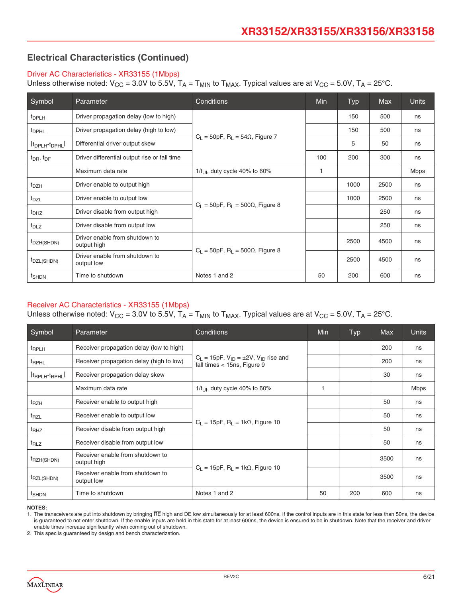#### Driver AC Characteristics - XR33155 (1Mbps)

Unless otherwise noted:  $V_{CC}$  = 3.0V to 5.5V,  $T_A$  =  $T_{MIN}$  to  $T_{MAX}$ . Typical values are at  $V_{CC}$  = 5.0V,  $T_A$  = 25°C.

| Symbol                                  | Parameter                                     | Conditions                                              | <b>Min</b> | Typ  | <b>Max</b> | <b>Units</b> |
|-----------------------------------------|-----------------------------------------------|---------------------------------------------------------|------------|------|------------|--------------|
| <sup>t</sup> DPLH                       | Driver propagation delay (low to high)        |                                                         |            | 150  | 500        | ns           |
| <sup>t</sup> DPHL                       | Driver propagation delay (high to low)        |                                                         |            | 150  | 500        | ns           |
| It <sub>DPLH</sub> -t <sub>DPHL</sub> I | Differential driver output skew               | $C_1 = 50pF$ , R <sub>1</sub> = 54 $\Omega$ , Figure 7  |            | 5    | 50         | ns           |
| $t_{\text{DR}}$ , $t_{\text{DF}}$       | Driver differential output rise or fall time  |                                                         | 100        | 200  | 300        | ns           |
|                                         | Maximum data rate                             | $1/t_{\text{LII}}$ , duty cycle 40% to 60%              | 1          |      |            | Mbps         |
| $t_{DZH}$                               | Driver enable to output high                  |                                                         |            | 1000 | 2500       | ns           |
| $t_{\text{DZL}}$                        | Driver enable to output low                   | $C_1 = 50pF$ , R <sub>1</sub> = 500 $\Omega$ , Figure 8 |            | 1000 | 2500       | ns           |
| t <sub>DHZ</sub>                        | Driver disable from output high               |                                                         |            |      | 250        | ns           |
| $t_{DLZ}$                               | Driver disable from output low                |                                                         |            |      | 250        | ns           |
| t <sub>DZH</sub> (SHDN)                 | Driver enable from shutdown to<br>output high |                                                         |            | 2500 | 4500       | ns           |
| t <sub>DZL</sub> (SHDN)                 | Driver enable from shutdown to<br>output low  | $C_1 = 50pF$ , R <sub>1</sub> = 500 $\Omega$ , Figure 8 |            | 2500 | 4500       | ns           |
| t <sub>SHDN</sub>                       | Time to shutdown                              | Notes 1 and 2                                           | 50         | 200  | 600        | ns           |

#### Receiver AC Characteristics - XR33155 (1Mbps)

Unless otherwise noted:  $V_{CC}$  = 3.0V to 5.5V,  $T_A$  =  $T_{MIN}$  to  $T_{MAX}$ . Typical values are at  $V_{CC}$  = 5.0V,  $T_A$  = 25°C.

| Symbol                    | Parameter                                       | Conditions                                                                            | <b>Min</b>   | <b>Typ</b> | <b>Max</b> | <b>Units</b> |
|---------------------------|-------------------------------------------------|---------------------------------------------------------------------------------------|--------------|------------|------------|--------------|
| <sup>t</sup> RPLH         | Receiver propagation delay (low to high)        |                                                                                       |              |            | 200        | ns           |
| <sup>t</sup> RPHL         | Receiver propagation delay (high to low)        | $C_1 = 15pF$ , $V_{1D} = \pm 2V$ , $V_{1D}$ rise and<br>fall times $<$ 15ns, Figure 9 |              |            | 200        | ns           |
| $ t_{RPLH}$ - $t_{RPHL} $ | Receiver propagation delay skew                 |                                                                                       |              |            | 30         | ns           |
|                           | Maximum data rate                               | $1/t_{\text{LII}}$ , duty cycle 40% to 60%                                            | $\mathbf{1}$ |            |            | <b>Mbps</b>  |
| t <sub>RZH</sub>          | Receiver enable to output high                  |                                                                                       |              |            | 50         | ns           |
| t <sub>RZL</sub>          | Receiver enable to output low                   |                                                                                       |              |            | 50         | ns           |
| t <sub>RHZ</sub>          | Receiver disable from output high               | $C_1 = 15pF$ , $R_1 = 1k\Omega$ , Figure 10                                           |              |            | 50         | ns           |
| $t_{RLZ}$                 | Receiver disable from output low                |                                                                                       |              |            | 50         | ns           |
| <sup>t</sup> RZH(SHDN)    | Receiver enable from shutdown to<br>output high |                                                                                       |              |            | 3500       | ns           |
| <sup>t</sup> RZL(SHDN)    | Receiver enable from shutdown to<br>output low  | $C_L = 15pF$ , $R_L = 1k\Omega$ , Figure 10                                           |              |            | 3500       | ns           |
| t <sub>SHDN</sub>         | Time to shutdown                                | Notes 1 and 2                                                                         | 50           | 200        | 600        | ns           |

**NOTES:**

1. The transceivers are put into shutdown by bringing RE high and DE low simultaneously for at least 600ns. If the control inputs are in this state for less than 50ns, the device is guaranteed to not enter shutdown. If the enable inputs are held in this state for at least 600ns, the device is ensured to be in shutdown. Note that the receiver and driver enable times increase significantly when coming out of shutdown.

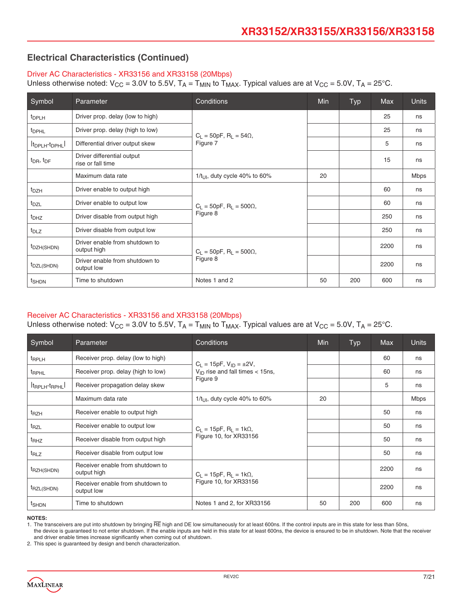#### Driver AC Characteristics - XR33156 and XR33158 (20Mbps)

Unless otherwise noted:  $V_{CC}$  = 3.0V to 5.5V,  $T_A$  =  $T_{MIN}$  to  $T_{MAX}$ . Typical values are at  $V_{CC}$  = 5.0V,  $T_A$  = 25°C.

| Symbol                                  | Parameter                                       | Min                                           | Typ | Max | <b>Units</b> |             |
|-----------------------------------------|-------------------------------------------------|-----------------------------------------------|-----|-----|--------------|-------------|
| <sup>t</sup> DPLH                       | Driver prop. delay (low to high)                |                                               |     |     | 25           | ns          |
| <sup>t</sup> DPHL                       | Driver prop. delay (high to low)                | $C_1 = 50pF$ , R <sub>1</sub> = 54 $\Omega$ , |     |     | 25           | ns          |
| It <sub>DPLH</sub> -t <sub>DPHL</sub> I | Differential driver output skew                 | Figure 7                                      |     |     | 5            | ns          |
| $t_{\text{DR}}$ , $t_{\text{DF}}$       | Driver differential output<br>rise or fall time |                                               |     |     | 15           | ns          |
|                                         | Maximum data rate                               | 1/t <sub>UI</sub> , duty cycle 40% to 60%     | 20  |     |              | <b>Mbps</b> |
| t <sub>DZH</sub>                        | Driver enable to output high                    |                                               |     |     | 60           | ns          |
| t <sub>DZL</sub>                        | Driver enable to output low                     | $C_L = 50pF$ , $R_L = 500\Omega$ ,            |     |     | 60           | ns          |
| t <sub>DHZ</sub>                        | Driver disable from output high                 | Figure 8                                      |     |     | 250          | ns          |
| $t_{DLZ}$                               | Driver disable from output low                  |                                               |     |     | 250          | ns          |
| t <sub>DZH</sub> (SHDN)                 | Driver enable from shutdown to<br>output high   | $C_L = 50pF$ , $R_L = 500\Omega$ ,            |     |     | 2200         | ns          |
| t <sub>DZL</sub> (SHDN)                 | Driver enable from shutdown to<br>output low    | Figure 8                                      |     |     | 2200         | ns          |
| t <sub>SHDN</sub>                       | Time to shutdown                                | Notes 1 and 2                                 | 50  | 200 | 600          | ns          |

#### Receiver AC Characteristics - XR33156 and XR33158 (20Mbps)

Unless otherwise noted:  $V_{CC}$  = 3.0V to 5.5V,  $T_A$  =  $T_{MIN}$  to  $T_{MAX}$ . Typical values are at  $V_{CC}$  = 5.0V,  $T_A$  = 25°C.

| Symbol                                  | Parameter                                       | Conditions                                  | Min | <b>Typ</b> | <b>Max</b> | <b>Units</b> |
|-----------------------------------------|-------------------------------------------------|---------------------------------------------|-----|------------|------------|--------------|
| <sup>t</sup> RPLH                       | Receiver prop. delay (low to high)              | $C_L = 15pF$ , $V_{ID} = \pm 2V$ ,          |     |            | 60         | ns           |
| <sup>t</sup> RPHL                       | Receiver prop. delay (high to low)              | $V_{\text{ID}}$ rise and fall times < 15ns, |     |            | 60         | ns           |
| It <sub>RPLH</sub> -t <sub>RPHL</sub> I | Receiver propagation delay skew                 | Figure 9                                    |     |            | 5          | ns           |
|                                         | Maximum data rate                               | $1/t_{\text{H}}$ , duty cycle 40% to 60%    | 20  |            |            | <b>Mbps</b>  |
| $t_{RZH}$                               | Receiver enable to output high                  |                                             |     |            | 50         | ns           |
| $t_{RZL}$                               | Receiver enable to output low                   | $C_L = 15pF$ , $R_L = 1k\Omega$ ,           |     |            | 50         | ns           |
| $t_{RHZ}$                               | Receiver disable from output high               | Figure 10, for XR33156                      |     |            | 50         | ns           |
| $t_{RLZ}$                               | Receiver disable from output low                |                                             |     |            | 50         | ns           |
| t <sub>RZH(SHDN)</sub>                  | Receiver enable from shutdown to<br>output high | $C_L = 15pF$ , $R_L = 1k\Omega$ ,           |     |            | 2200       | ns           |
| t <sub>RZL(SHDN)</sub>                  | Receiver enable from shutdown to<br>output low  | Figure 10, for XR33156                      |     |            | 2200       | ns           |
| t <sub>SHDN</sub>                       | Time to shutdown                                | Notes 1 and 2, for XR33156                  | 50  | 200        | 600        | ns           |

#### **NOTES:**

1. The transceivers are put into shutdown by bringing RE high and DE low simultaneously for at least 600ns. If the control inputs are in this state for less than 50ns,

the device is guaranteed to not enter shutdown. If the enable inputs are held in this state for at least 600ns, the device is ensured to be in shutdown. Note that the receiver and driver enable times increase significantly when coming out of shutdown.

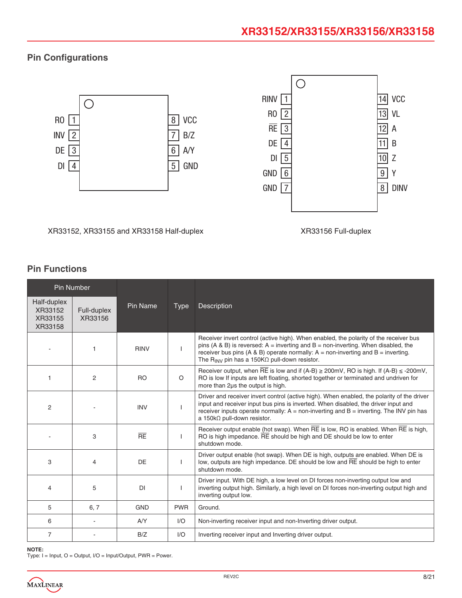### **Pin Configurations**



#### XR33152, XR33155 and XR33158 Half-duplex XR33156 Full-duplex

### **Pin Functions**

| Pin Number                                   |                        |             |             |                                                                                                                                                                                                                                                                                                                                                           |
|----------------------------------------------|------------------------|-------------|-------------|-----------------------------------------------------------------------------------------------------------------------------------------------------------------------------------------------------------------------------------------------------------------------------------------------------------------------------------------------------------|
| Half-duplex<br>XR33152<br>XR33155<br>XR33158 | Full-duplex<br>XR33156 | Pin Name    | <b>Type</b> | Description                                                                                                                                                                                                                                                                                                                                               |
|                                              | 1                      | <b>RINV</b> |             | Receiver invert control (active high). When enabled, the polarity of the receiver bus<br>pins (A & B) is reversed: $A =$ inverting and $B =$ non-inverting. When disabled, the<br>receiver bus pins (A & B) operate normally: $A = \text{non-inverting}$ and $B = \text{inverting}$ .<br>The R <sub>INV</sub> pin has a 150K $\Omega$ pull-down resistor. |
| 1                                            | 2                      | <b>RO</b>   | $\circ$     | Receiver output, when RE is low and if $(A-B) \ge 200$ mV, RO is high. If $(A-B) \le 200$ mV,<br>RO is low If inputs are left floating, shorted together or terminated and undriven for<br>more than 2us the output is high.                                                                                                                              |
| $\overline{2}$                               |                        | <b>INV</b>  |             | Driver and receiver invert control (active high). When enabled, the polarity of the driver<br>input and receiver input bus pins is inverted. When disabled, the driver input and<br>receiver inputs operate normally: $A =$ non-inverting and $B =$ inverting. The INV pin has<br>a 150k $\Omega$ pull-down resistor.                                     |
|                                              | 3                      | RE          |             | Receiver output enable (hot swap). When RE is low, RO is enabled. When RE is high,<br>RO is high impedance. RE should be high and DE should be low to enter<br>shutdown mode.                                                                                                                                                                             |
| 3                                            | $\overline{4}$         | DE          |             | Driver output enable (hot swap). When DE is high, outputs are enabled. When DE is<br>low, outputs are high impedance. DE should be low and RE should be high to enter<br>shutdown mode.                                                                                                                                                                   |
| 4                                            | 5                      | <b>DI</b>   |             | Driver input. With DE high, a low level on DI forces non-inverting output low and<br>inverting output high. Similarly, a high level on DI forces non-inverting output high and<br>inverting output low.                                                                                                                                                   |
| 5                                            | 6, 7                   | <b>GND</b>  | <b>PWR</b>  | Ground.                                                                                                                                                                                                                                                                                                                                                   |
| 6                                            |                        | A/Y         | 1/O         | Non-inverting receiver input and non-Inverting driver output.                                                                                                                                                                                                                                                                                             |
| $\overline{7}$                               |                        | B/Z         | 1/O         | Inverting receiver input and Inverting driver output.                                                                                                                                                                                                                                                                                                     |

#### **NOTE:**

Type: I = Input, O = Output, I/O = Input/Output, PWR = Power.

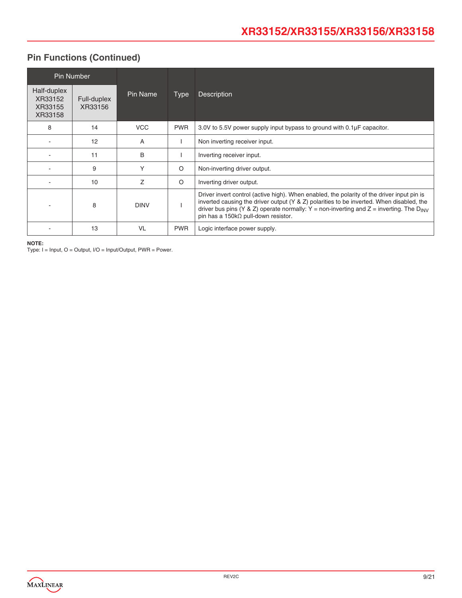### **Pin Functions (Continued)**

|                                              | <b>Pin Number</b>      |             |             |                                                                                                                                                                                                                                                                                                                                             |
|----------------------------------------------|------------------------|-------------|-------------|---------------------------------------------------------------------------------------------------------------------------------------------------------------------------------------------------------------------------------------------------------------------------------------------------------------------------------------------|
| Half-duplex<br>XR33152<br>XR33155<br>XR33158 | Full-duplex<br>XR33156 | Pin Name    | <b>Type</b> | <b>Description</b>                                                                                                                                                                                                                                                                                                                          |
| 8                                            | 14                     | <b>VCC</b>  | <b>PWR</b>  | 3.0V to 5.5V power supply input bypass to ground with 0.1µF capacitor.                                                                                                                                                                                                                                                                      |
|                                              | 12                     | A           |             | Non inverting receiver input.                                                                                                                                                                                                                                                                                                               |
|                                              | 11                     | B           |             | Inverting receiver input.                                                                                                                                                                                                                                                                                                                   |
|                                              | 9                      | Υ           | $\circ$     | Non-inverting driver output.                                                                                                                                                                                                                                                                                                                |
|                                              | 10                     | Ζ           | $\circ$     | Inverting driver output.                                                                                                                                                                                                                                                                                                                    |
|                                              | 8                      | <b>DINV</b> |             | Driver invert control (active high). When enabled, the polarity of the driver input pin is<br>inverted causing the driver output (Y & Z) polarities to be inverted. When disabled, the<br>driver bus pins (Y & Z) operate normally: Y = non-inverting and Z = inverting. The $D_{\text{INV}}$<br>pin has a $150k\Omega$ pull-down resistor. |
|                                              | 13                     | VL          | <b>PWR</b>  | Logic interface power supply.                                                                                                                                                                                                                                                                                                               |

**NOTE:** 

Type: I = Input, O = Output, I/O = Input/Output, PWR = Power.

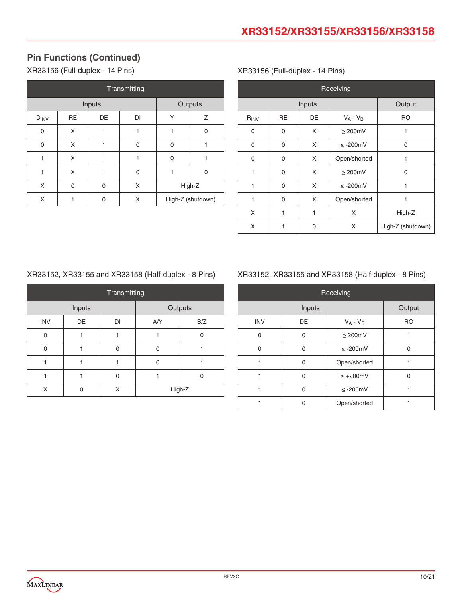### **Pin Functions (Continued)**

XR33156 (Full-duplex - 14 Pins)

| Transmitting |          |        |    |   |                   |
|--------------|----------|--------|----|---|-------------------|
|              |          | Inputs |    |   | Outputs           |
| $D_{INV}$    | RE       | DE     | DI | Υ | Ζ                 |
| 0            | X        |        | 1  | 1 | 0                 |
| 0            | X        | 1      | 0  | 0 |                   |
| 1            | X        | 1      | 1  | 0 |                   |
| 1            | X        | 1      | 0  | 1 | 0                 |
| X            | $\Omega$ | 0      | X  |   | High-Z            |
| X            |          | 0      | X  |   | High-Z (shutdown) |

#### XR33156 (Full-duplex - 14 Pins)

|           | Receiving        |                    |               |                   |  |  |  |
|-----------|------------------|--------------------|---------------|-------------------|--|--|--|
|           | Inputs<br>Output |                    |               |                   |  |  |  |
| $R_{INV}$ | <b>RE</b>        | DE                 | $V_A - V_B$   | <b>RO</b>         |  |  |  |
| 0         | 0                | X                  | $\geq 200$ mV | 1                 |  |  |  |
| 0         | $\Omega$         | X                  | $\leq$ -200mV | $\overline{0}$    |  |  |  |
| 0         | $\mathbf{0}$     | X                  | Open/shorted  | 1                 |  |  |  |
| 1         | 0                | X<br>$\geq 200$ mV |               | 0                 |  |  |  |
| 1         | $\Omega$         | X                  | $\leq$ -200mV | 1                 |  |  |  |
| 1         | $\mathbf{0}$     | X                  | Open/shorted  | 1                 |  |  |  |
| X         | 1                | 1                  | X             | High-Z            |  |  |  |
| X         | 1                | 0                  | X             | High-Z (shutdown) |  |  |  |

### XR33152, XR33155 and XR33158 (Half-duplex - 8 Pins)

| Transmitting |        |    |     |         |
|--------------|--------|----|-----|---------|
|              | Inputs |    |     | Outputs |
| <b>INV</b>   | DE     | DI | A/Y | B/Z     |
|              |        |    |     | O       |
| U            |        | 0  |     |         |
|              |        |    |     |         |
|              |        | 0  |     | O       |
|              |        | X  |     | High-Z  |

### XR33152, XR33155 and XR33158 (Half-duplex - 8 Pins)

| Receiving  |          |                |           |  |  |  |  |
|------------|----------|----------------|-----------|--|--|--|--|
|            | Inputs   |                |           |  |  |  |  |
| <b>INV</b> | DE       | $V_A - V_B$    | <b>RO</b> |  |  |  |  |
| 0          | 0        | $\geq 200$ mV  |           |  |  |  |  |
| 0          | 0        | $\leq$ -200mV  | ∩         |  |  |  |  |
|            | 0        | Open/shorted   |           |  |  |  |  |
|            | $\Omega$ | $\geq +200$ mV | O         |  |  |  |  |
|            | 0        | $\leq$ -200mV  |           |  |  |  |  |
|            |          | Open/shorted   |           |  |  |  |  |

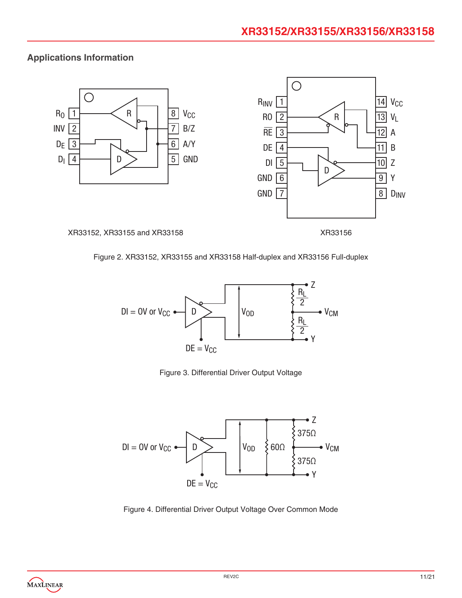### **Applications Information**



#### XR33152, XR33155 and XR33158 XR33156



#### Figure 2. XR33152, XR33155 and XR33158 Half-duplex and XR33156 Full-duplex



Figure 3. Differential Driver Output Voltage



Figure 4. Differential Driver Output Voltage Over Common Mode

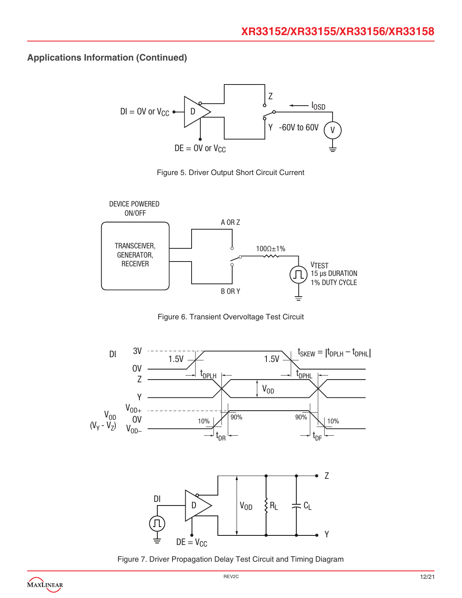





Figure 6. Transient Overvoltage Test Circuit



Figure 7. Driver Propagation Delay Test Circuit and Timing Diagram

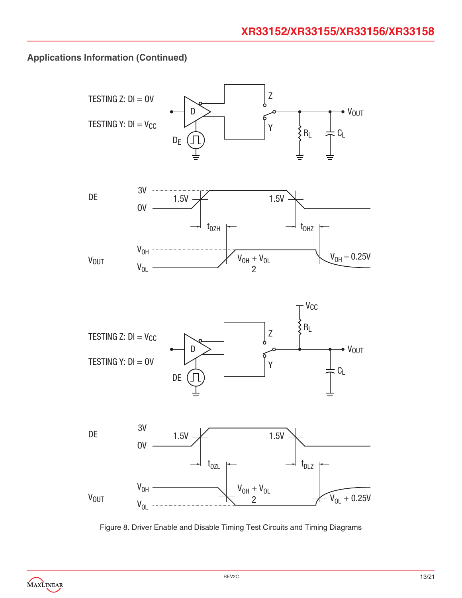

Figure 8. Driver Enable and Disable Timing Test Circuits and Timing Diagrams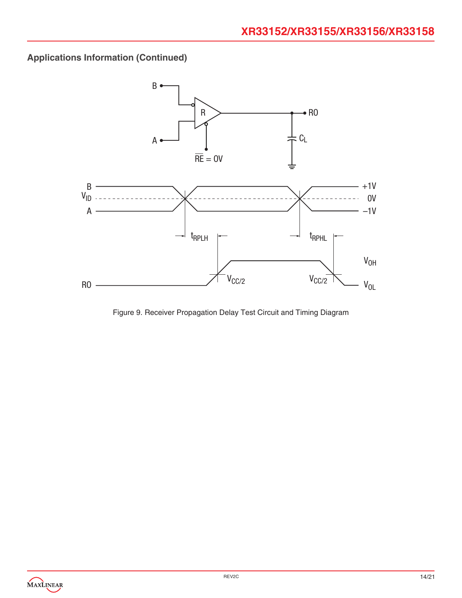

Figure 9. Receiver Propagation Delay Test Circuit and Timing Diagram

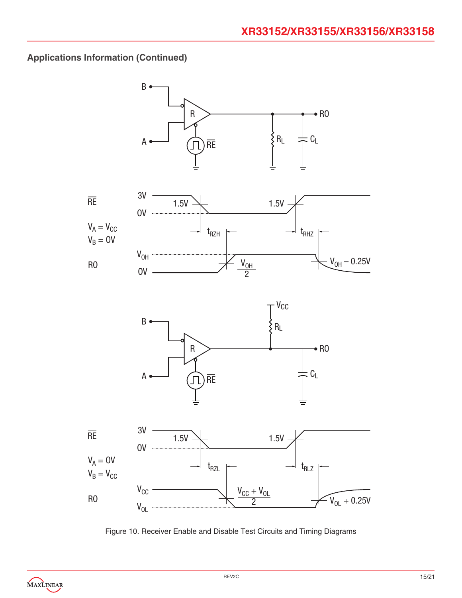

Figure 10. Receiver Enable and Disable Test Circuits and Timing Diagrams

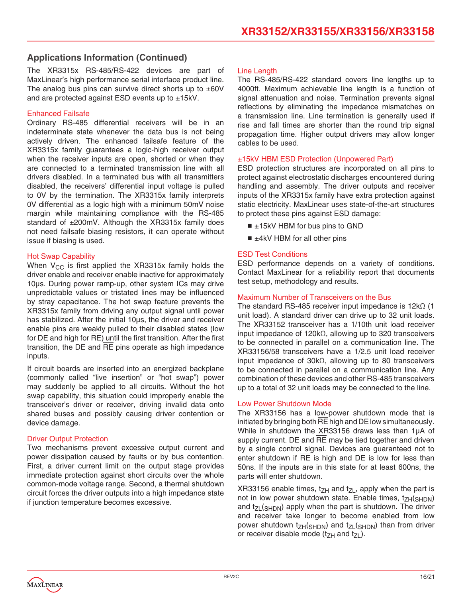The XR3315x RS-485/RS-422 devices are part of MaxLinear's high performance serial interface product line. The analog bus pins can survive direct shorts up to  $\pm 60V$ and are protected against ESD events up to ±15kV.

#### Enhanced Failsafe

Ordinary RS-485 differential receivers will be in an indeterminate state whenever the data bus is not being actively driven. The enhanced failsafe feature of the XR3315x family guarantees a logic-high receiver output when the receiver inputs are open, shorted or when they are connected to a terminated transmission line with all drivers disabled. In a terminated bus with all transmitters disabled, the receivers' differential input voltage is pulled to 0V by the termination. The XR3315x family interprets 0V differential as a logic high with a minimum 50mV noise margin while maintaining compliance with the RS-485 standard of ±200mV. Although the XR3315x family does not need failsafe biasing resistors, it can operate without issue if biasing is used.

#### Hot Swap Capability

When  $V_{CC}$  is first applied the XR3315x family holds the driver enable and receiver enable inactive for approximately 10μs. During power ramp-up, other system ICs may drive unpredictable values or tristated lines may be influenced by stray capacitance. The hot swap feature prevents the XR3315x family from driving any output signal until power has stabilized. After the initial 10us, the driver and receiver enable pins are weakly pulled to their disabled states (low for DE and high for  $\overline{RE}$ ) until the first transition. After the first transition, the  $DE$  and  $\overline{RE}$  pins operate as high impedance inputs.

If circuit boards are inserted into an energized backplane (commonly called "live insertion" or "hot swap") power may suddenly be applied to all circuits. Without the hot swap capability, this situation could improperly enable the transceiver's driver or receiver, driving invalid data onto shared buses and possibly causing driver contention or device damage.

#### **Driver Output Protection**

Two mechanisms prevent excessive output current and power dissipation caused by faults or by bus contention. First, a driver current limit on the output stage provides immediate protection against short circuits over the whole common-mode voltage range. Second, a thermal shutdown circuit forces the driver outputs into a high impedance state if junction temperature becomes excessive.

#### Line Length

The RS-485/RS-422 standard covers line lengths up to 4000ft. Maximum achievable line length is a function of signal attenuation and noise. Termination prevents signal reflections by eliminating the impedance mismatches on a transmission line. Line termination is generally used if rise and fall times are shorter than the round trip signal propagation time. Higher output drivers may allow longer cables to be used.

#### ±15kV HBM ESD Protection (Unpowered Part)

ESD protection structures are incorporated on all pins to protect against electrostatic discharges encountered during handling and assembly. The driver outputs and receiver inputs of the XR3315x family have extra protection against static electricity. MaxLinear uses state-of-the-art structures to protect these pins against ESD damage:

- ±15kV HBM for bus pins to GND
- $\blacksquare$   $\pm$ 4kV HBM for all other pins

#### ESD Test Conditions

ESD performance depends on a variety of conditions. Contact MaxLinear for a reliability report that documents test setup, methodology and results.

#### Maximum Number of Transceivers on the Bus

The standard RS-485 receiver input impedance is 12kΩ (1 unit load). A standard driver can drive up to 32 unit loads. The XR33152 transceiver has a 1/10th unit load receiver input impedance of 120kΩ, allowing up to 320 transceivers to be connected in parallel on a communication line. The XR33156/58 transceivers have a 1/2.5 unit load receiver input impedance of 30kΩ, allowing up to 80 transceivers to be connected in parallel on a communication line. Any combination of these devices and other RS-485 transceivers up to a total of 32 unit loads may be connected to the line.

#### Low Power Shutdown Mode

The XR33156 has a low-power shutdown mode that is initiated by bringing both RE high and DE low simultaneously. While in shutdown the XR33156 draws less than 1μA of supply current. DE and  $\overline{RE}$  may be tied together and driven by a single control signal. Devices are guaranteed not to enter shutdown if  $\overline{RE}$  is high and DE is low for less than 50ns. If the inputs are in this state for at least 600ns, the parts will enter shutdown.

XR33156 enable times,  $t_{ZH}$  and  $t_{ZL}$ , apply when the part is not in low power shutdown state. Enable times,  $t_{ZH}(sH)$ and  $t_{ZL}$ (SHDN) apply when the part is shutdown. The driver and receiver take longer to become enabled from low power shutdown  $t_{ZH(SHDN)}$  and  $t_{ZL(SHDN)}$  than from driver or receiver disable mode ( $t_{ZH}$  and  $t_{ZL}$ ).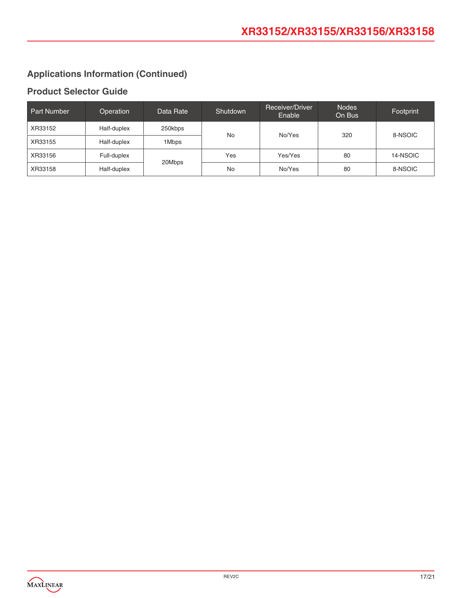### **Product Selector Guide**

| Part Number | Operation   | Data Rate | Shutdown | Receiver/Driver<br>Enable | <b>Nodes</b><br>On Bus | Footprint |
|-------------|-------------|-----------|----------|---------------------------|------------------------|-----------|
| XR33152     | Half-duplex | 250kbps   | No       | No/Yes                    | 320                    | 8-NSOIC   |
| XR33155     | Half-duplex | 1Mbps     |          |                           |                        |           |
| XR33156     | Full-duplex | 20Mbps    | Yes      | Yes/Yes                   | 80                     | 14-NSOIC  |
| XR33158     | Half-duplex |           | No       | No/Yes                    | 80                     | 8-NSOIC   |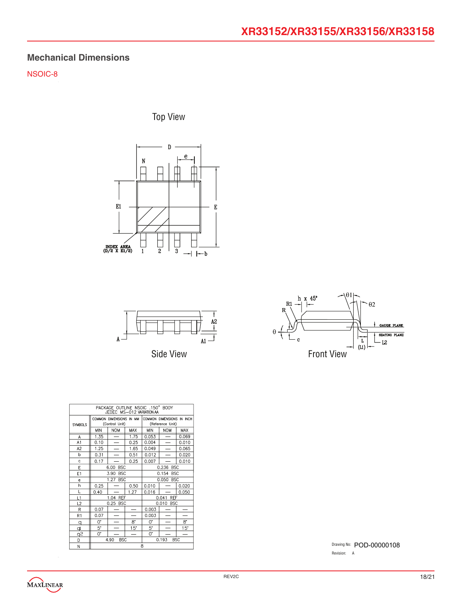### **Mechanical Dimensions**

NSOIC-8

Top View





Side View



| PACKAGE OUTLINE NSOIC .150" BODY<br>JEDEC MS-012 VARIATION AA |            |                                           |              |                     |                                               |              |  |
|---------------------------------------------------------------|------------|-------------------------------------------|--------------|---------------------|-----------------------------------------------|--------------|--|
| <b>SYMBOLS</b>                                                |            | COMMON DIMENSIONS IN MM<br>(Control Unit) |              |                     | COMMON DIMENSIONS IN INCH<br>(Reference Unit) |              |  |
|                                                               | <b>MIN</b> | <b>NOM</b>                                | <b>MAX</b>   | <b>MIN</b>          | <b>NOM</b>                                    | MAX          |  |
| A                                                             | 1.35       |                                           | 1.75         | 0.053               |                                               | 0.069        |  |
| A1                                                            | 0.10       |                                           | 0.25         | 0.004               | $\overline{\phantom{0}}$                      | 0.010        |  |
| A <sub>2</sub>                                                | 1.25       |                                           | 1.65         | 0.049               |                                               | 0.065        |  |
| b                                                             | 0.31       |                                           | 0.51         | 0.012               |                                               | 0.020        |  |
| c                                                             | 0.17       |                                           | 0.25         | 0.007               |                                               | 0.010        |  |
| Е                                                             |            | <b>BSC</b><br>6.00                        |              |                     | 0.236 BSC                                     |              |  |
| E1                                                            |            | <b>BSC</b><br>3.90                        |              |                     | 0.154 BSC                                     |              |  |
| e                                                             |            | 1.27 BSC                                  |              | 0.050 BSC           |                                               |              |  |
| h                                                             | 0.25       |                                           | 0.50         | 0.010               |                                               | 0.020        |  |
| L                                                             | 0.40       |                                           | 1.27         | 0.016               |                                               | 0.050        |  |
| L1                                                            |            | 1.04 REF                                  |              | 0.041<br><b>REF</b> |                                               |              |  |
| L2                                                            |            | 0.25 BSC                                  |              | 0.010<br><b>BSC</b> |                                               |              |  |
| R                                                             | 0.07       |                                           |              | 0.003               |                                               |              |  |
| R <sub>1</sub>                                                | 0.07       |                                           |              | 0.003               |                                               |              |  |
| q                                                             | 0.         |                                           | $8^{\circ}$  | U.                  |                                               | $8^{\circ}$  |  |
| đ                                                             | 5.         |                                           | $15^{\circ}$ | 5.                  | —                                             | $15^{\circ}$ |  |
| q2                                                            | 0.         |                                           |              | 0.                  |                                               |              |  |
| D                                                             |            | <b>BSC</b><br>4.90                        |              |                     | 0.193                                         | <b>BSC</b>   |  |
| N                                                             | 8          |                                           |              |                     |                                               |              |  |

Drawing No: POD-00000108 Revision: A

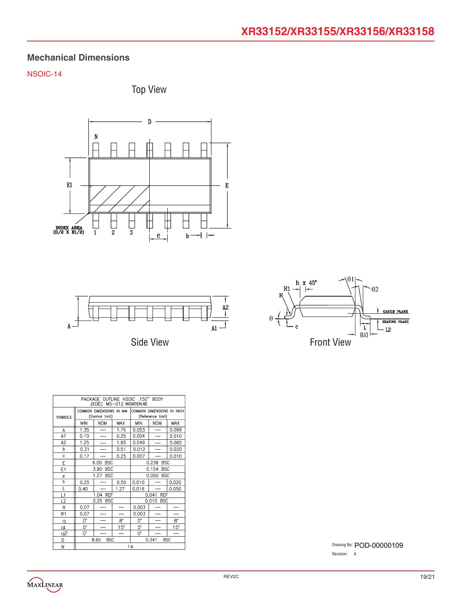### **Mechanical Dimensions**

### NSOIC-14







Side View



| PACKAGE OUTLINE NSOIC .150" BODY<br>JEDEC MS-012 VARIATION AB |             |                                           |             |                     |                                               |             |
|---------------------------------------------------------------|-------------|-------------------------------------------|-------------|---------------------|-----------------------------------------------|-------------|
| <b>SYMBOLS</b>                                                |             | COMMON DIMENSIONS IN MM<br>(Control Unit) |             |                     | COMMON DIMENSIONS IN INCH<br>(Reference Unit) |             |
|                                                               | <b>MIN</b>  | <b>NOM</b>                                | MAX         | <b>MIN</b>          | <b>NOM</b>                                    | <b>MAX</b>  |
| Α                                                             | 1.35        |                                           | 1.75        | 0.053               |                                               | 0.069       |
| A1                                                            | 0.10        |                                           | 0.25        | 0.004               |                                               | 0.010       |
| A <sub>2</sub>                                                | 1.25        |                                           | 1.65        | 0.049               |                                               | 0.065       |
| b                                                             | 0.31        |                                           | 0.51        | 0.012               |                                               | 0.020       |
| Ċ                                                             | 0.17        |                                           | 0.25        | 0.007               |                                               | 0.010       |
| E                                                             |             | <b>BSC</b><br>6.00                        |             | 0.236 BSC           |                                               |             |
| E1                                                            |             | 3.90<br><b>BSC</b>                        |             | 0.154<br><b>BSC</b> |                                               |             |
| e                                                             |             | 1.27<br><b>BSC</b>                        |             | 0.050<br><b>BSC</b> |                                               |             |
| h                                                             | 0.25        |                                           | 0.50        | 0.010               |                                               | 0.020       |
| Г                                                             | 0.40        |                                           | 1.27        | 0.016               |                                               | 0.050       |
| L1                                                            |             | 1.04 REF                                  |             | <b>REF</b><br>0.041 |                                               |             |
| L2                                                            |             | 0.25 BSC                                  |             |                     | 0.010 BSC                                     |             |
| R                                                             | 0.07        |                                           |             | 0.003               |                                               |             |
| R1                                                            | 0.07        |                                           |             | 0.003               |                                               |             |
| q                                                             | 0*          |                                           | $8^{\circ}$ | 0.                  |                                               | $8^{\circ}$ |
| q                                                             | $5*$        |                                           | 15"         | 5.                  |                                               | 15"         |
| $\overline{5}$                                                | $0^{\circ}$ |                                           |             | 0.                  |                                               |             |
| D                                                             |             | <b>BSC</b><br>0.341<br><b>BSC</b><br>8.65 |             |                     |                                               |             |
| N                                                             | 14          |                                           |             |                     |                                               |             |

Drawing No: POD-00000109Revision: A

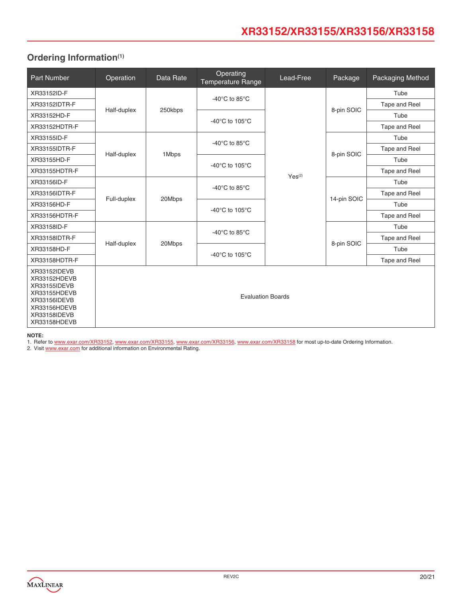# **XR33152/XR33155/XR33156/XR33158**

### <span id="page-19-0"></span>**Ordering Information(1)**

| Part Number                                                                                                                  | Operation                | Data Rate | Operating<br><b>Temperature Range</b> | Lead-Free   | Package     | Packaging Method |
|------------------------------------------------------------------------------------------------------------------------------|--------------------------|-----------|---------------------------------------|-------------|-------------|------------------|
| XR33152ID-F                                                                                                                  |                          | 250kbps   | -40°C to 85°C                         |             | 8-pin SOIC  | Tube             |
| XR33152IDTR-F                                                                                                                | Half-duplex              |           |                                       |             |             | Tape and Reel    |
| XR33152HD-F                                                                                                                  |                          |           | -40°C to 105°C                        |             |             | Tube             |
| XR33152HDTR-F                                                                                                                |                          |           |                                       |             |             | Tape and Reel    |
| XR33155ID-F                                                                                                                  |                          |           | -40 $^{\circ}$ C to 85 $^{\circ}$ C   |             |             | Tube             |
| XR33155IDTR-F                                                                                                                | Half-duplex              | 1Mbps     |                                       |             | 8-pin SOIC  | Tape and Reel    |
| XR33155HD-F                                                                                                                  |                          |           | -40°C to 105°C                        | $Yes^{(2)}$ | 14-pin SOIC | Tube             |
| XR33155HDTR-F                                                                                                                |                          |           |                                       |             |             | Tape and Reel    |
| XR33156ID-F                                                                                                                  |                          |           | -40 $^{\circ}$ C to 85 $^{\circ}$ C   |             |             | Tube             |
| XR33156IDTR-F                                                                                                                | Full-duplex              | 20Mbps    |                                       |             |             | Tape and Reel    |
| XR33156HD-F                                                                                                                  |                          |           | -40°C to 105°C                        |             |             | Tube             |
| XR33156HDTR-F                                                                                                                |                          |           |                                       |             |             | Tape and Reel    |
| XR33158ID-F                                                                                                                  |                          |           | -40 $^{\circ}$ C to 85 $^{\circ}$ C   |             |             | Tube             |
| XR33158IDTR-F                                                                                                                | Half-duplex              |           |                                       |             | 8-pin SOIC  | Tape and Reel    |
| XR33158HD-F                                                                                                                  |                          | 20Mbps    | -40°C to 105°C                        |             |             | Tube             |
| XR33158HDTR-F                                                                                                                |                          |           |                                       |             |             | Tape and Reel    |
| XR33152IDEVB<br>XR33152HDEVB<br>XR33155IDEVB<br>XR33155HDEVB<br>XR33156IDEVB<br>XR33156HDEVB<br>XR33158IDEVB<br>XR33158HDEVB | <b>Evaluation Boards</b> |           |                                       |             |             |                  |

#### **NOTE:**

1. Refer to www.exar.com/XR33152, www.exar.com/XR33155, www.exar.com/XR33156, www.exar.com/XR33158 for most up-to-date Ordering Information.

2. Visit [www.exar.com](http://www.exar.com) for additional information on Environmental Rating.